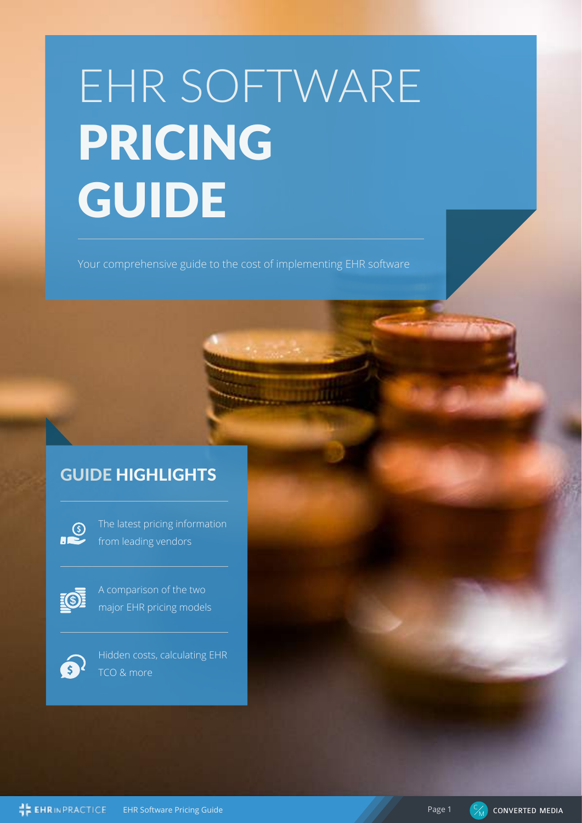# EHR SOFTWARE PRICING GUIDE

Your comprehensive guide to the cost of implementing EHR software

# GUIDE HIGHLIGHTS

 $\sum$ 

The latest pricing information from leading vendors



A comparison of the two major EHR pricing models



Hidden costs, calculating EHR TCO & more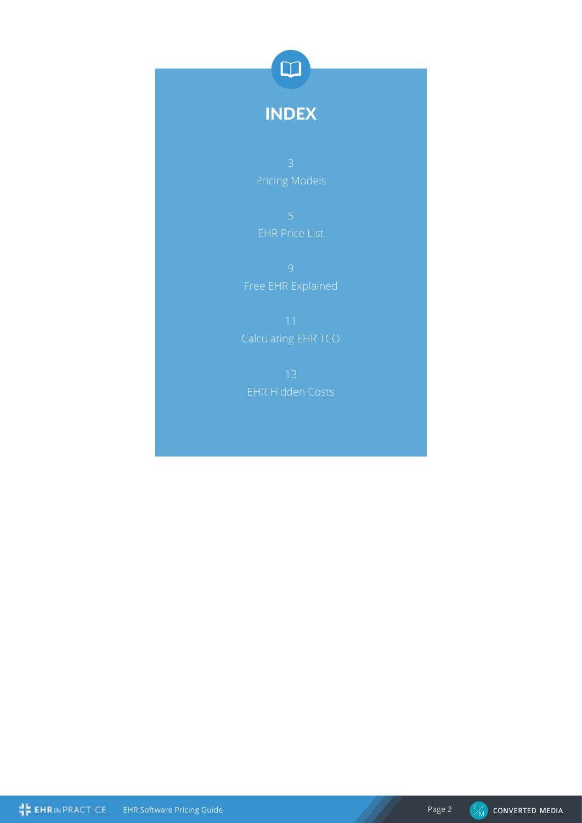

# INDEX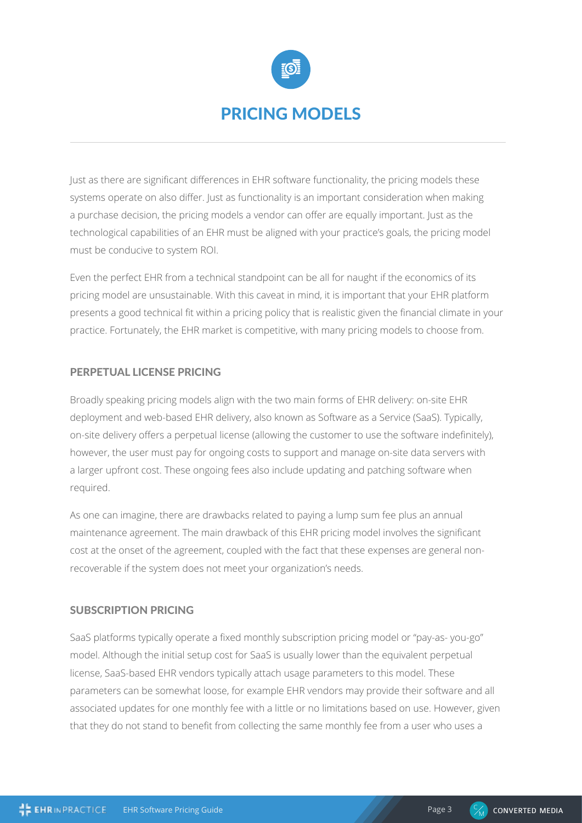

Just as there are significant differences in EHR software functionality, the pricing models these systems operate on also differ. Just as functionality is an important consideration when making a purchase decision, the pricing models a vendor can offer are equally important. Just as the technological capabilities of an EHR must be aligned with your practice's goals, the pricing model must be conducive to system ROI.

Even the perfect EHR from a technical standpoint can be all for naught if the economics of its pricing model are unsustainable. With this caveat in mind, it is important that your EHR platform presents a good technical fit within a pricing policy that is realistic given the financial climate in your practice. Fortunately, the EHR market is competitive, with many pricing models to choose from.

## PERPETUAL LICENSE PRICING

Broadly speaking pricing models align with the two main forms of EHR delivery: on-site EHR deployment and web-based EHR delivery, also known as Software as a Service (SaaS). Typically, on-site delivery offers a perpetual license (allowing the customer to use the software indefinitely), however, the user must pay for ongoing costs to support and manage on-site data servers with a larger upfront cost. These ongoing fees also include updating and patching software when required.

As one can imagine, there are drawbacks related to paying a lump sum fee plus an annual maintenance agreement. The main drawback of this EHR pricing model involves the significant cost at the onset of the agreement, coupled with the fact that these expenses are general nonrecoverable if the system does not meet your organization's needs.

#### SUBSCRIPTION PRICING

SaaS platforms typically operate a fixed monthly subscription pricing model or "pay-as- you-go" model. Although the initial setup cost for SaaS is usually lower than the equivalent perpetual license, SaaS-based EHR vendors typically attach usage parameters to this model. These parameters can be somewhat loose, for example EHR vendors may provide their software and all associated updates for one monthly fee with a little or no limitations based on use. However, given that they do not stand to benefit from collecting the same monthly fee from a user who uses a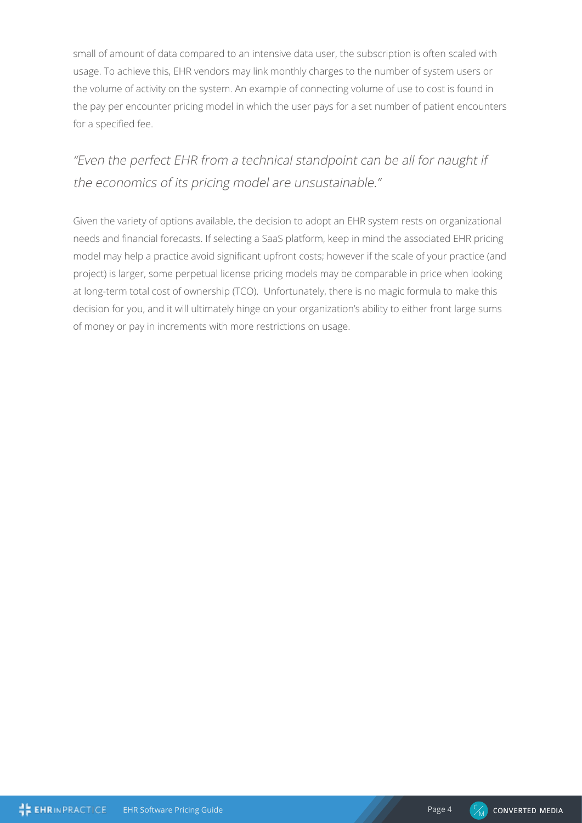small of amount of data compared to an intensive data user, the subscription is often scaled with usage. To achieve this, EHR vendors may link monthly charges to the number of system users or the volume of activity on the system. An example of connecting volume of use to cost is found in the pay per encounter pricing model in which the user pays for a set number of patient encounters for a specified fee.

# "Even the perfect EHR from a technical standpoint can be all for naught if the economics of its pricing model are unsustainable."

Given the variety of options available, the decision to adopt an EHR system rests on organizational needs and financial forecasts. If selecting a SaaS platform, keep in mind the associated EHR pricing model may help a practice avoid significant upfront costs; however if the scale of your practice (and project) is larger, some perpetual license pricing models may be comparable in price when looking at long-term total cost of ownership (TCO). Unfortunately, there is no magic formula to make this decision for you, and it will ultimately hinge on your organization's ability to either front large sums of money or pay in increments with more restrictions on usage.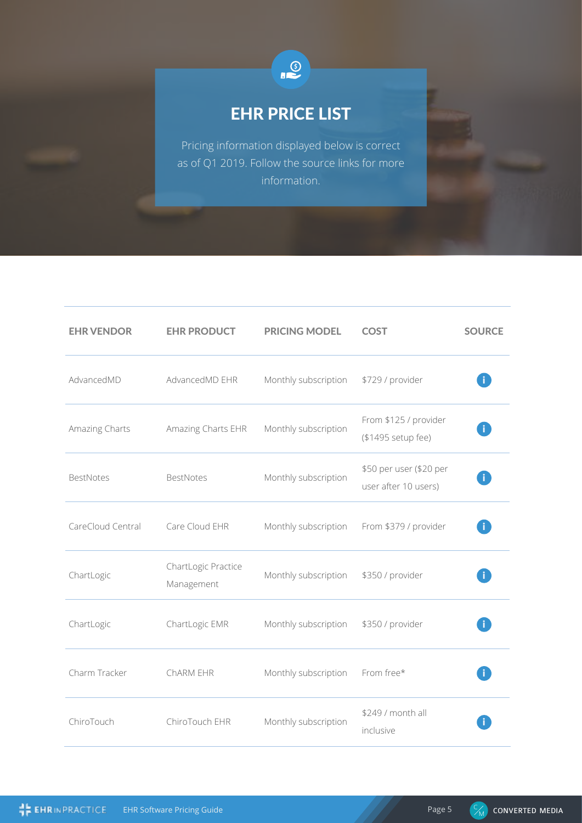

# EHR PRICE LIST

Pricing information displayed below is correct as of Q1 2019. Follow the source links for more information.

| <b>EHR VENDOR</b> | <b>EHR PRODUCT</b>                | <b>PRICING MODEL</b> | <b>COST</b>                                     | <b>SOURCE</b> |
|-------------------|-----------------------------------|----------------------|-------------------------------------------------|---------------|
| AdvancedMD        | AdvancedMD EHR                    | Monthly subscription | \$729 / provider                                |               |
| Amazing Charts    | Amazing Charts EHR                | Monthly subscription | From \$125 / provider<br>(\$1495 setup fee)     |               |
| <b>BestNotes</b>  | <b>BestNotes</b>                  | Monthly subscription | \$50 per user (\$20 per<br>user after 10 users) |               |
| CareCloud Central | Care Cloud EHR                    | Monthly subscription | From \$379 / provider                           |               |
| ChartLogic        | ChartLogic Practice<br>Management | Monthly subscription | \$350 / provider                                |               |
| ChartLogic        | ChartLogic EMR                    | Monthly subscription | \$350 / provider                                |               |
| Charm Tracker     | ChARM EHR                         | Monthly subscription | From free*                                      |               |
| ChiroTouch        | ChiroTouch EHR                    | Monthly subscription | \$249 / month all<br>inclusive                  |               |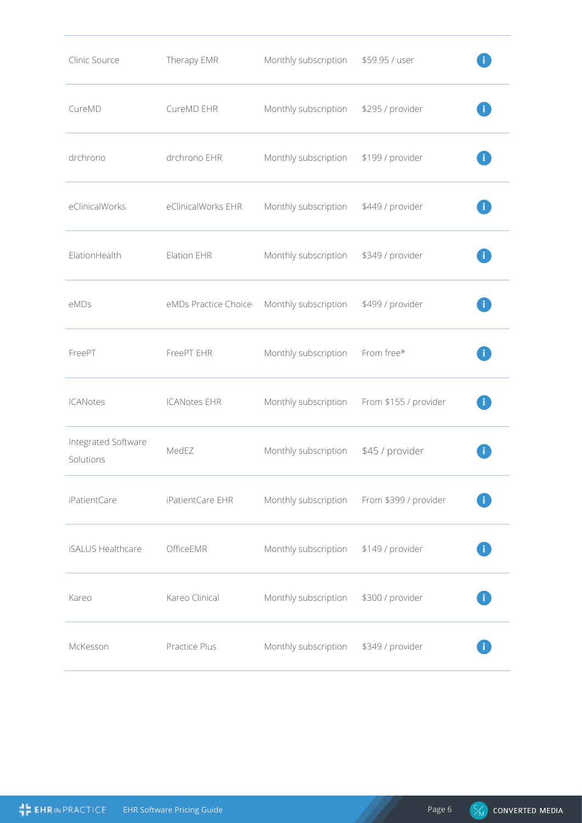| Clinic Source                    | Therapy EMR          | Monthly subscription | \$59.95 / user        |  |
|----------------------------------|----------------------|----------------------|-----------------------|--|
| CureMD                           | CureMD EHR           | Monthly subscription | \$295 / provider      |  |
| drchrono                         | drchrono EHR         | Monthly subscription | \$199 / provider      |  |
| eClinicalWorks                   | eClinicalWorks EHR   | Monthly subscription | \$449 / provider      |  |
| ElationHealth                    | Elation EHR          | Monthly subscription | \$349 / provider      |  |
| eMDs                             | eMDs Practice Choice | Monthly subscription | \$499 / provider      |  |
| FreePT                           | FreePT EHR           | Monthly subscription | From free*            |  |
| <b>ICANotes</b>                  | <b>ICANotes EHR</b>  | Monthly subscription | From \$155 / provider |  |
| Integrated Software<br>Solutions | MedEZ                | Monthly subscription | \$45 / provider       |  |
| iPatientCare                     | iPatientCare EHR     | Monthly subscription | From \$399 / provider |  |
| <b>iSALUS Healthcare</b>         | OfficeEMR            | Monthly subscription | \$149 / provider      |  |
| Kareo                            | Kareo Clinical       | Monthly subscription | \$300 / provider      |  |
| McKesson                         | Practice Plus        | Monthly subscription | \$349 / provider      |  |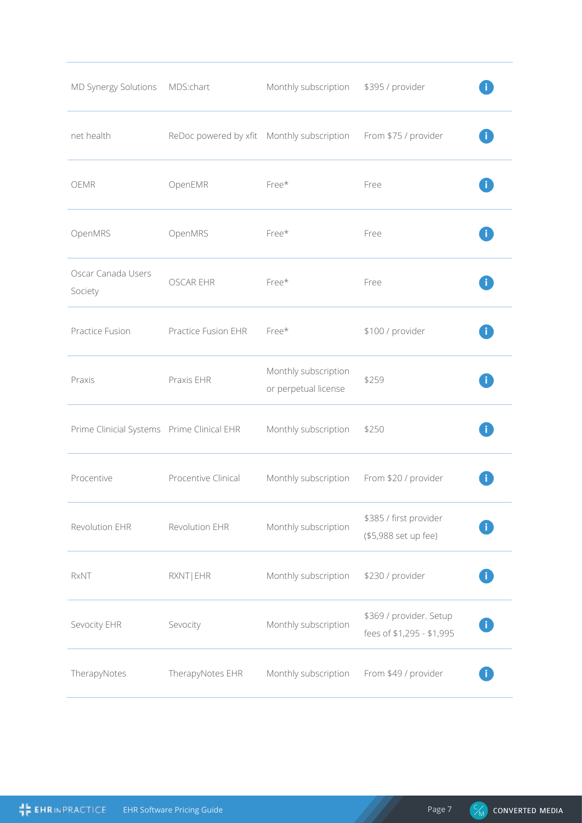| MD Synergy Solutions                       | MDS:chart                                  | Monthly subscription                         | \$395 / provider                                     |  |
|--------------------------------------------|--------------------------------------------|----------------------------------------------|------------------------------------------------------|--|
| net health                                 | ReDoc powered by xfit Monthly subscription |                                              | From \$75 / provider                                 |  |
| <b>OEMR</b>                                | OpenEMR                                    | Free*                                        | Free                                                 |  |
| OpenMRS                                    | OpenMRS                                    | Free*                                        | Free                                                 |  |
| Oscar Canada Users<br>Society              | <b>OSCAR EHR</b>                           | Free*                                        | Free                                                 |  |
| Practice Fusion                            | Practice Fusion EHR                        | Free*                                        | \$100 / provider                                     |  |
| Praxis                                     | Praxis EHR                                 | Monthly subscription<br>or perpetual license | \$259                                                |  |
| Prime Clinicial Systems Prime Clinical EHR |                                            | Monthly subscription                         | \$250                                                |  |
| Procentive                                 | Procentive Clinical                        | Monthly subscription                         | From \$20 / provider                                 |  |
| Revolution EHR                             | Revolution EHR                             | Monthly subscription                         | \$385 / first provider<br>(\$5,988 set up fee)       |  |
| <b>RxNT</b>                                | RXNT   EHR                                 | Monthly subscription                         | \$230 / provider                                     |  |
| Sevocity EHR                               | Sevocity                                   | Monthly subscription                         | \$369 / provider. Setup<br>fees of \$1,295 - \$1,995 |  |
| TherapyNotes                               | TherapyNotes EHR                           | Monthly subscription                         | From \$49 / provider                                 |  |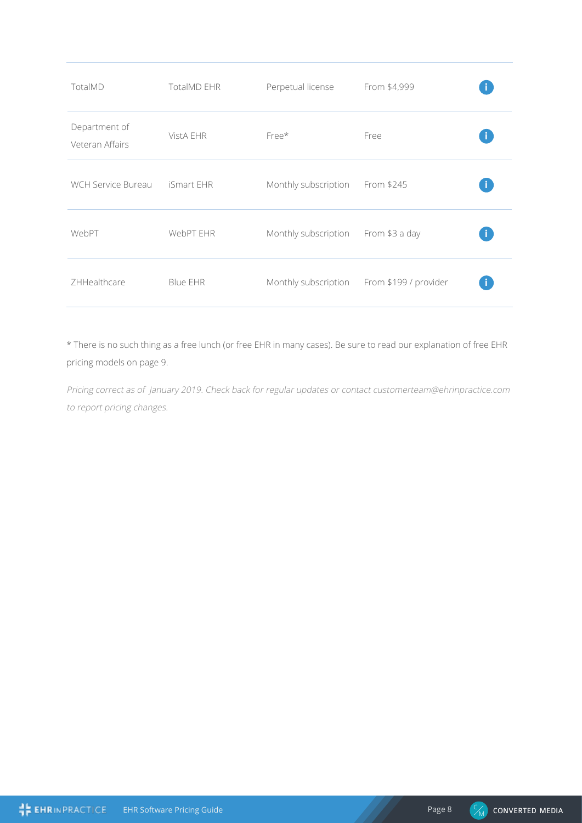| TotalMD                          | <b>TotalMD EHR</b> | Perpetual license                   | From \$4,999                               |  |
|----------------------------------|--------------------|-------------------------------------|--------------------------------------------|--|
| Department of<br>Veteran Affairs | VistA EHR          | Free*                               | Free                                       |  |
| WCH Service Bureau               | iSmart EHR         | Monthly subscription                | From \$245                                 |  |
| WebPT                            | WebPT EHR          | Monthly subscription From \$3 a day |                                            |  |
| ZHHealthcare                     | Blue EHR           |                                     | Monthly subscription From \$199 / provider |  |
|                                  |                    |                                     |                                            |  |

\* There is no such thing as a free lunch (or free EHR in many cases). Be sure to read our explanation of free EHR pricing models on page 9.

Pricing correct as of January 2019. Check back for regular updates or contact customerteam@ehrinpractice.com to report pricing changes.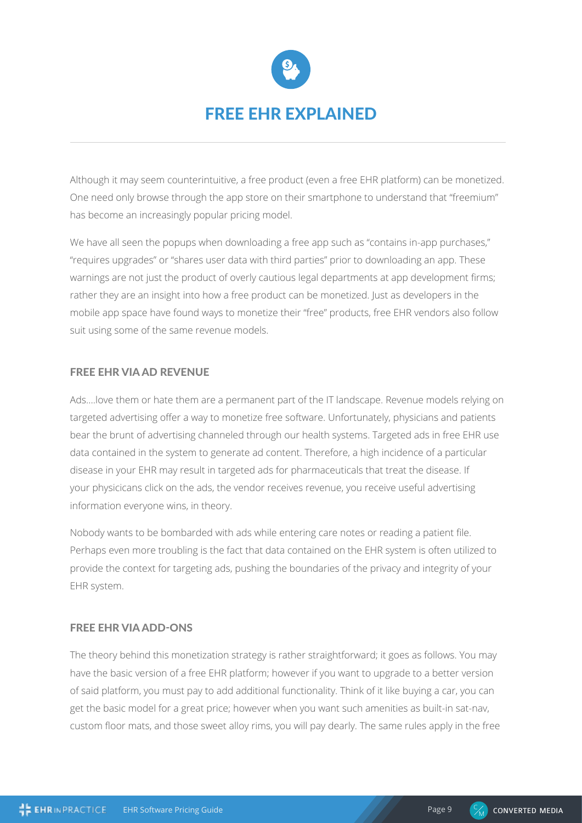

Although it may seem counterintuitive, a free product (even a free EHR platform) can be monetized. One need only browse through the app store on their smartphone to understand that "freemium" has become an increasingly popular pricing model.

We have all seen the popups when downloading a free app such as "contains in-app purchases," "requires upgrades" or "shares user data with third parties" prior to downloading an app. These warnings are not just the product of overly cautious legal departments at app development firms; rather they are an insight into how a free product can be monetized. Just as developers in the mobile app space have found ways to monetize their "free" products, free EHR vendors also follow suit using some of the same revenue models.

# FREE EHR VIA AD REVENUE

Ads….love them or hate them are a permanent part of the IT landscape. Revenue models relying on targeted advertising offer a way to monetize free software. Unfortunately, physicians and patients bear the brunt of advertising channeled through our health systems. Targeted ads in free EHR use data contained in the system to generate ad content. Therefore, a high incidence of a particular disease in your EHR may result in targeted ads for pharmaceuticals that treat the disease. If your physicicans click on the ads, the vendor receives revenue, you receive useful advertising information everyone wins, in theory.

Nobody wants to be bombarded with ads while entering care notes or reading a patient file. Perhaps even more troubling is the fact that data contained on the EHR system is often utilized to provide the context for targeting ads, pushing the boundaries of the privacy and integrity of your EHR system.

## FREE EHR VIA ADD-ONS

The theory behind this monetization strategy is rather straightforward; it goes as follows. You may have the basic version of a free EHR platform; however if you want to upgrade to a better version of said platform, you must pay to add additional functionality. Think of it like buying a car, you can get the basic model for a great price; however when you want such amenities as built-in sat-nav, custom floor mats, and those sweet alloy rims, you will pay dearly. The same rules apply in the free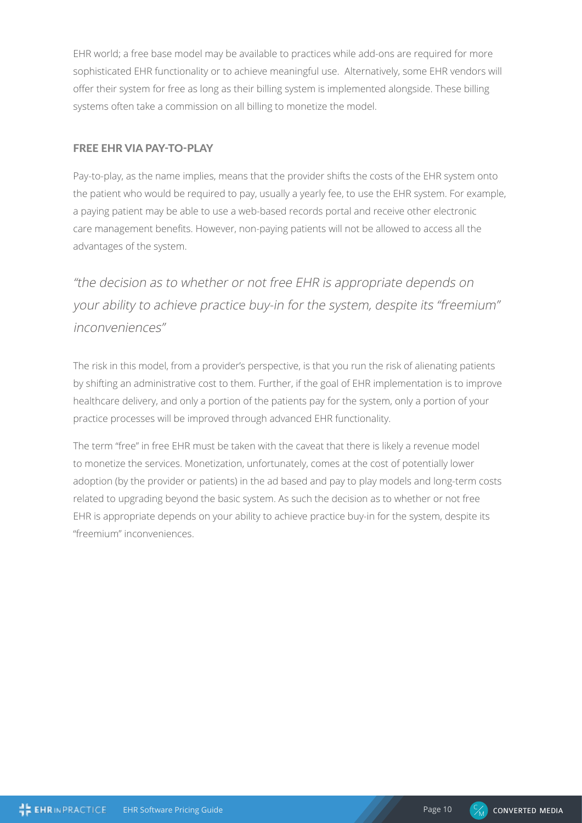EHR world; a free base model may be available to practices while add-ons are required for more sophisticated EHR functionality or to achieve meaningful use. Alternatively, some EHR vendors will offer their system for free as long as their billing system is implemented alongside. These billing systems often take a commission on all billing to monetize the model.

# FREE EHR VIA PAY-TO-PLAY

Pay-to-play, as the name implies, means that the provider shifts the costs of the EHR system onto the patient who would be required to pay, usually a yearly fee, to use the EHR system. For example, a paying patient may be able to use a web-based records portal and receive other electronic care management benefits. However, non-paying patients will not be allowed to access all the advantages of the system.

"the decision as to whether or not free EHR is appropriate depends on your ability to achieve practice buy-in for the system, despite its "freemium" inconveniences"

The risk in this model, from a provider's perspective, is that you run the risk of alienating patients by shifting an administrative cost to them. Further, if the goal of EHR implementation is to improve healthcare delivery, and only a portion of the patients pay for the system, only a portion of your practice processes will be improved through advanced EHR functionality.

The term "free" in free EHR must be taken with the caveat that there is likely a revenue model to monetize the services. Monetization, unfortunately, comes at the cost of potentially lower adoption (by the provider or patients) in the ad based and pay to play models and long-term costs related to upgrading beyond the basic system. As such the decision as to whether or not free EHR is appropriate depends on your ability to achieve practice buy-in for the system, despite its "freemium" inconveniences.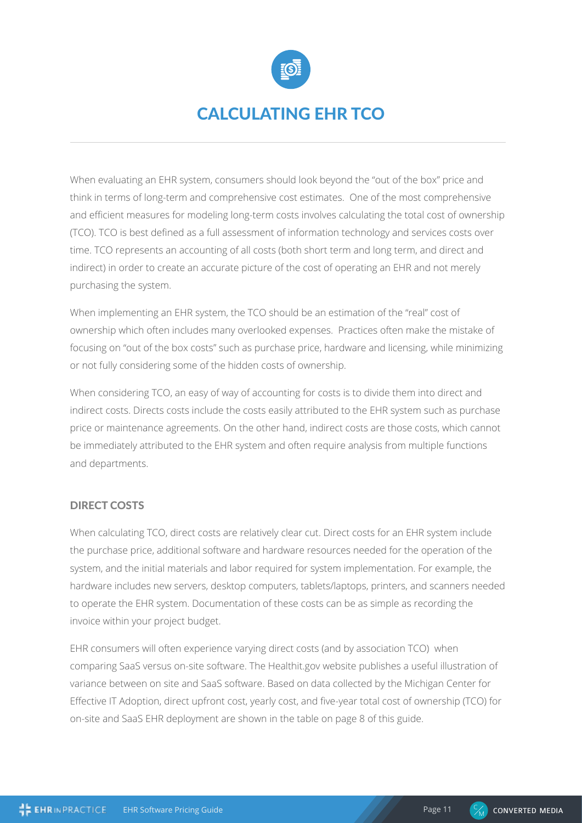

# CALCULATING EHR TCO

When evaluating an EHR system, consumers should look beyond the "out of the box" price and think in terms of long-term and comprehensive cost estimates. One of the most comprehensive and efficient measures for modeling long-term costs involves calculating the total cost of ownership (TCO). TCO is best defined as a full assessment of information technology and services costs over time. TCO represents an accounting of all costs (both short term and long term, and direct and indirect) in order to create an accurate picture of the cost of operating an EHR and not merely purchasing the system.

When implementing an EHR system, the TCO should be an estimation of the "real" cost of ownership which often includes many overlooked expenses. Practices often make the mistake of focusing on "out of the box costs" such as purchase price, hardware and licensing, while minimizing or not fully considering some of the hidden costs of ownership.

When considering TCO, an easy of way of accounting for costs is to divide them into direct and indirect costs. Directs costs include the costs easily attributed to the EHR system such as purchase price or maintenance agreements. On the other hand, indirect costs are those costs, which cannot be immediately attributed to the EHR system and often require analysis from multiple functions and departments.

#### DIRECT COSTS

When calculating TCO, direct costs are relatively clear cut. Direct costs for an EHR system include the purchase price, additional software and hardware resources needed for the operation of the system, and the initial materials and labor required for system implementation. For example, the hardware includes new servers, desktop computers, tablets/laptops, printers, and scanners needed to operate the EHR system. Documentation of these costs can be as simple as recording the invoice within your project budget.

EHR consumers will often experience varying direct costs (and by association TCO) when comparing SaaS versus on-site software. The Healthit.gov website publishes a useful illustration of variance between on site and SaaS software. Based on data collected by the Michigan Center for Effective IT Adoption, direct upfront cost, yearly cost, and five-year total cost of ownership (TCO) for on-site and SaaS EHR deployment are shown in the table on page 8 of this guide.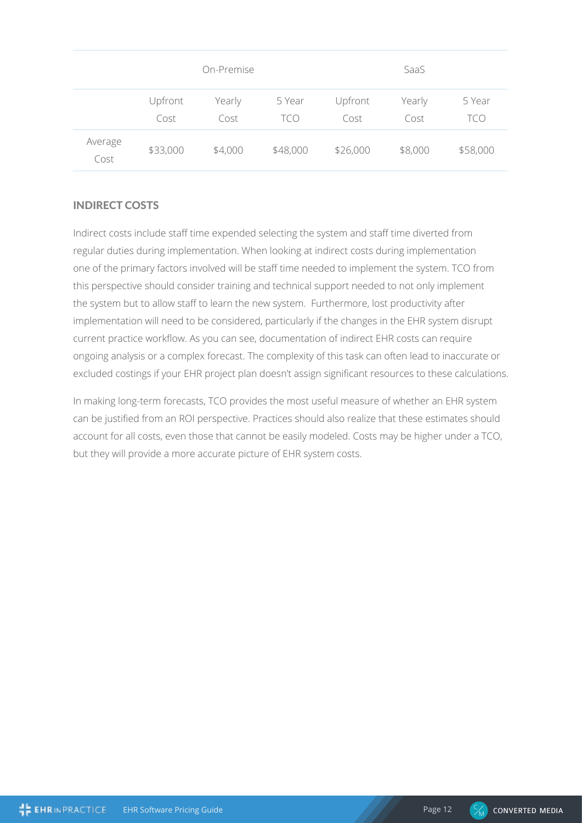|                 |                 | On-Premise     |               |                 | SaaS           |               |
|-----------------|-----------------|----------------|---------------|-----------------|----------------|---------------|
|                 | Upfront<br>Cost | Yearly<br>Cost | 5 Year<br>TCO | Upfront<br>Cost | Yearly<br>Cost | 5 Year<br>tco |
| Average<br>Cost | \$33,000        | \$4,000        | \$48,000      | \$26,000        | \$8,000        | \$58,000      |

# INDIRECT COSTS

Indirect costs include staff time expended selecting the system and staff time diverted from regular duties during implementation. When looking at indirect costs during implementation one of the primary factors involved will be staff time needed to implement the system. TCO from this perspective should consider training and technical support needed to not only implement the system but to allow staff to learn the new system. Furthermore, lost productivity after implementation will need to be considered, particularly if the changes in the EHR system disrupt current practice workflow. As you can see, documentation of indirect EHR costs can require ongoing analysis or a complex forecast. The complexity of this task can often lead to inaccurate or excluded costings if your EHR project plan doesn't assign significant resources to these calculations.

In making long-term forecasts, TCO provides the most useful measure of whether an EHR system can be justified from an ROI perspective. Practices should also realize that these estimates should account for all costs, even those that cannot be easily modeled. Costs may be higher under a TCO, but they will provide a more accurate picture of EHR system costs.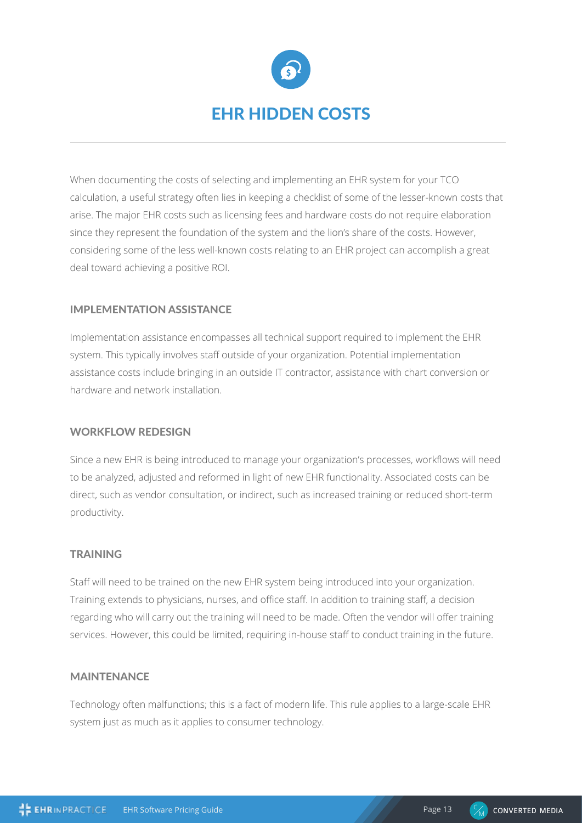

When documenting the costs of selecting and implementing an EHR system for your TCO calculation, a useful strategy often lies in keeping a checklist of some of the lesser-known costs that arise. The major EHR costs such as licensing fees and hardware costs do not require elaboration since they represent the foundation of the system and the lion's share of the costs. However, considering some of the less well-known costs relating to an EHR project can accomplish a great deal toward achieving a positive ROI.

## IMPLEMENTATION ASSISTANCE

Implementation assistance encompasses all technical support required to implement the EHR system. This typically involves staff outside of your organization. Potential implementation assistance costs include bringing in an outside IT contractor, assistance with chart conversion or hardware and network installation.

#### WORKFLOW REDESIGN

Since a new EHR is being introduced to manage your organization's processes, workflows will need to be analyzed, adjusted and reformed in light of new EHR functionality. Associated costs can be direct, such as vendor consultation, or indirect, such as increased training or reduced short-term productivity.

#### **TRAINING**

Staff will need to be trained on the new EHR system being introduced into your organization. Training extends to physicians, nurses, and office staff. In addition to training staff, a decision regarding who will carry out the training will need to be made. Often the vendor will offer training services. However, this could be limited, requiring in-house staff to conduct training in the future.

#### MAINTENANCE

Technology often malfunctions; this is a fact of modern life. This rule applies to a large-scale EHR system just as much as it applies to consumer technology.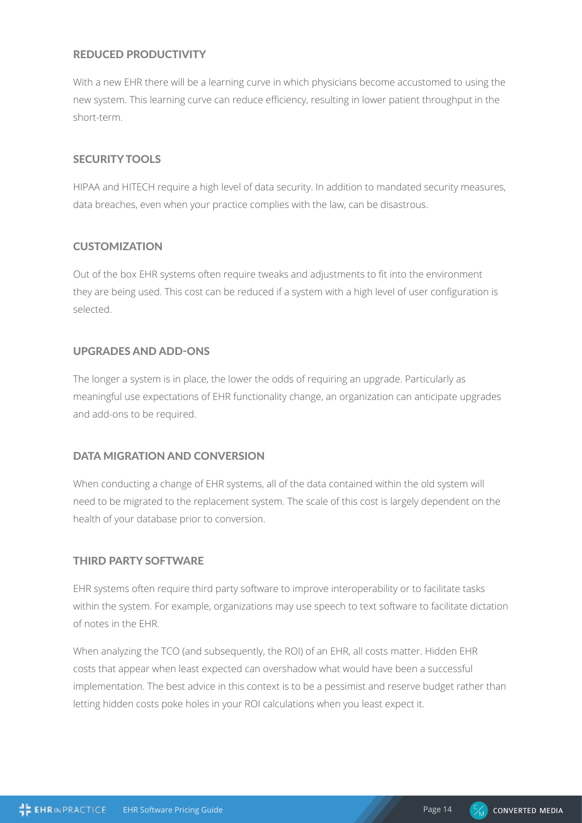## REDUCED PRODUCTIVITY

With a new EHR there will be a learning curve in which physicians become accustomed to using the new system. This learning curve can reduce efficiency, resulting in lower patient throughput in the short-term.

#### SECURITY TOOLS

HIPAA and HITECH require a high level of data security. In addition to mandated security measures, data breaches, even when your practice complies with the law, can be disastrous.

## **CUSTOMIZATION**

Out of the box EHR systems often require tweaks and adjustments to fit into the environment they are being used. This cost can be reduced if a system with a high level of user configuration is selected.

#### UPGRADES AND ADD-ONS

The longer a system is in place, the lower the odds of requiring an upgrade. Particularly as meaningful use expectations of EHR functionality change, an organization can anticipate upgrades and add-ons to be required.

## DATA MIGRATION AND CONVERSION

When conducting a change of EHR systems, all of the data contained within the old system will need to be migrated to the replacement system. The scale of this cost is largely dependent on the health of your database prior to conversion.

#### THIRD PARTY SOFTWARE

EHR systems often require third party software to improve interoperability or to facilitate tasks within the system. For example, organizations may use speech to text software to facilitate dictation of notes in the EHR.

When analyzing the TCO (and subsequently, the ROI) of an EHR, all costs matter. Hidden EHR costs that appear when least expected can overshadow what would have been a successful implementation. The best advice in this context is to be a pessimist and reserve budget rather than letting hidden costs poke holes in your ROI calculations when you least expect it.